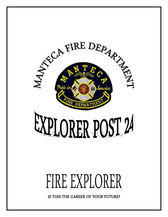

# FIRE EXPLORER

IS THIS THE CAREER OF YOUR FUTURE?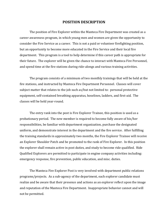#### **POSITION DESCRIPTION**

The position of Fire Explorer within the Manteca Fire Department was created as a career awareness program, in which young men and women are given the opportunity to consider the Fire Service as a career. This is not a paid or volunteer firefighting position, but an opportunity to become more educated in the Fire Service and their local fire department. This program is a tool to help determine if this career path is appropriate for their future. The explorer will be given the chance to interact with Manteca Fire Personnel, and spend time at the fire stations during ride-alongs and various training activities.

The program consists of a minimum of two monthly trainings that will be held at the fire stations, and instructed by Manteca Fire Department Personnel. Classes will cover subject matter that relates to the job such as/but not limited to: personal protective equipment, self-contained breathing apparatus, hoselines, ladders, and first-aid. The classes will be held year-round.

The entry rank into the post is Fire Explorer Trainee, this position is used as a probationary period. The new member is required to become fully aware of his/her responsibilities, be familiar with department organization, purchase the designated uniform, and demonstrate interest in the department and the fire service. After fulfilling the training standards in approximately two months, the Fire Explorer Trainee will receive an Explorer Shoulder Patch and be promoted to the rank of Fire Explorer. In this position the explorer shall remain active in post duties, and study to become ride qualified. Ride Qualified Explorers are permitted to participate in engine company activities including: emergency response, fire prevention, public education, and misc. duties.

The Manteca Fire Explorer Post is very involved with department public relations programs/projects. As a sub-agency of the department, each explorer candidate must realize and be aware that their presence and actions as an explorer reflect upon the image and reputation of the Manteca Fire Department. Inappropriate behavior cannot and will not be permitted.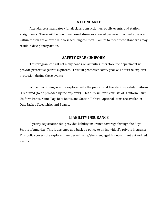#### **ATTENDANCE**

Attendance is mandatory for all classroom activities, public events, and station assignments. There will be two un-excused absences allowed per year. Excused absences within reason are allowed due to scheduling conflicts. Failure to meet these standards may result in disciplinary action.

#### **SAFETY GEAR/UNIFORM**

This program consists of many hands-on activities, therefore the department will provide protective gear to explorers. This full protective safety gear will offer the explorer protection during these events.

While functioning as a fire explorer with the public or at fire stations, a duty uniform is required (to be provided by the explorer). This duty uniform consists of: Uniform Shirt, Uniform Pants, Name Tag, Belt, Boots, and Station T-shirt. Optional items are available: Duty Jacket, Sweatshirt, and Beanie.

#### **LIABILITY INSURANCE**

A yearly registration fee, provides liability insurance coverage through the Boys Scouts of America. This is designed as a back up policy to an individual's private insurance. This policy covers the explorer member while he/she is engaged in department authorized events.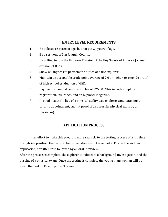#### **ENTRY LEVEL REQUIREMENTS**

- 1. Be at least 16 years of age, but not yet 21 years of age.
- 2. Be a resident of San Joaquin County.
- 3. Be willing to join the Explorer Division of the Boy Scouts of America (a co-ed division of BSA).
- 4. Show willingness to perform the duties of a fire explorer.
- 5. Maintain an acceptable grade point average of 2.0 or higher, or provide proof of high school graduation of GED.
- 6. Pay the post annual registration fee of \$25.00. This includes Explorer registration, insurance, and an Explorer Magazine.
- 7. In good health (in lieu of a physical agility test, explorer candidate must, prior to appointment, submit proof of a successful physical exam by a physician).

### **APPLICATION PROCESS**

In an effort to make this program more realistic to the testing process of a full time firefighting position, the test will be broken down into three parts. First is the written application, a written test, followed by an oral interview.

After the process is complete, the explorer is subject to a background investigation, and the passing of a physical exam. Once the testing is complete the young man/woman will be given the rank of Fire Explorer Trainee.